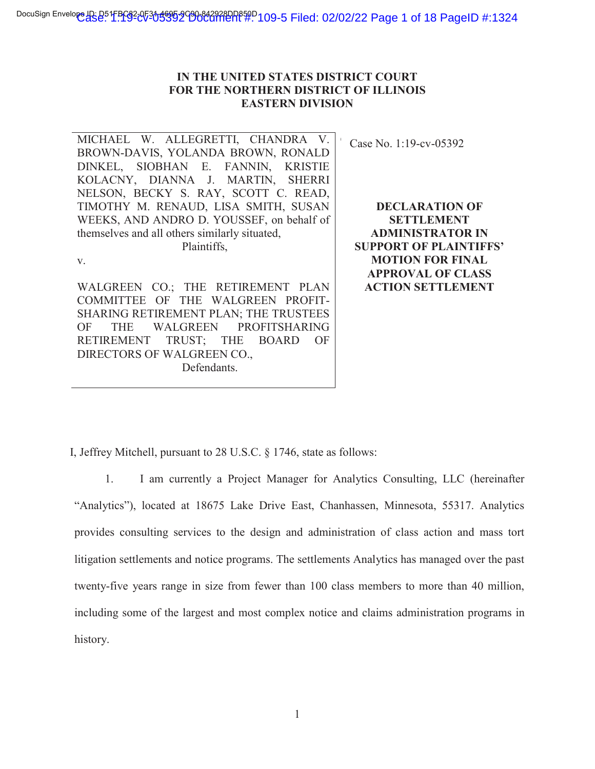#### **IN THE UNITED STATES DISTRICT COURT FOR THE NORTHERN DISTRICT OF ILLINOIS EASTERN DIVISION**

MICHAEL W. ALLEGRETTI, CHANDRA V. Case No. 1:19-cv-05392 BROWN-DAVIS, YOLANDA BROWN, RONALD DINKEL, SIOBHAN E. FANNIN, KRISTIE KOLACNY, DIANNA J. MARTIN, SHERRI NELSON, BECKY S. RAY, SCOTT C. READ, TIMOTHY M. RENAUD, LISA SMITH, SUSAN WEEKS, AND ANDRO D. YOUSSEF, on behalf of themselves and all others similarly situated, Plaintiffs, v. WALGREEN CO.; THE RETIREMENT PLAN  $\mathbb{C}$ 

COMMITTEE OF THE WALGREEN PROFIT-SHARING RETIREMENT PLAN; THE TRUSTEES OF THE WALGREEN PROFITSHARING RETIREMENT TRUST; THE BOARD OF DIRECTORS OF WALGREEN CO., Defendants.

**DECLARATION OF SETTLEMENT ADMINISTRATOR IN SUPPORT OF PLAINTIFFS' MOTION FOR FINAL APPROVAL OF CLASS ACTION SETTLEMENT**

I, Jeffrey Mitchell, pursuant to 28 U.S.C. § 1746, state as follows:

1. I am currently a Project Manager for Analytics Consulting, LLC (hereinafter "Analytics"), located at 18675 Lake Drive East, Chanhassen, Minnesota, 55317. Analytics provides consulting services to the design and administration of class action and mass tort litigation settlements and notice programs. The settlements Analytics has managed over the past twenty-five years range in size from fewer than 100 class members to more than 40 million, including some of the largest and most complex notice and claims administration programs in history.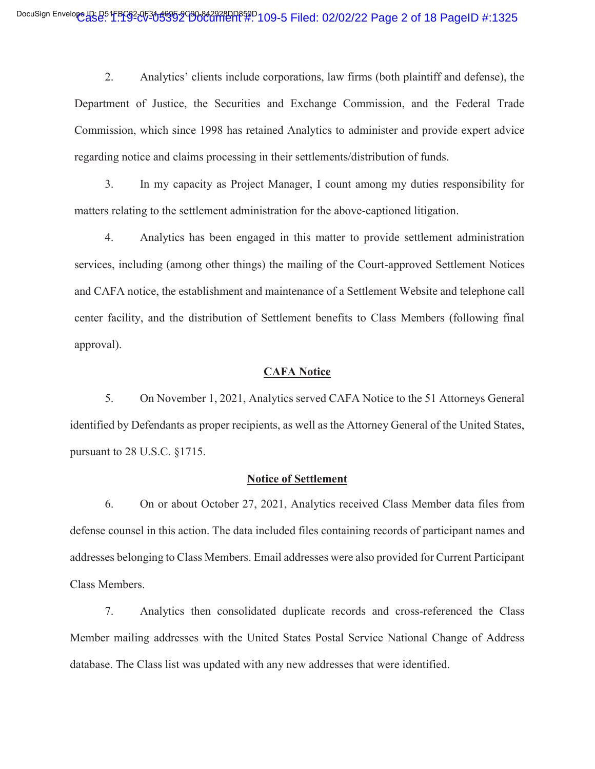2. Analytics' clients include corporations, law firms (both plaintiff and defense), the Department of Justice, the Securities and Exchange Commission, and the Federal Trade Commission, which since 1998 has retained Analytics to administer and provide expert advice regarding notice and claims processing in their settlements/distribution of funds.

3. In my capacity as Project Manager, I count among my duties responsibility for matters relating to the settlement administration for the above-captioned litigation.

4. Analytics has been engaged in this matter to provide settlement administration services, including (among other things) the mailing of the Court-approved Settlement Notices and CAFA notice, the establishment and maintenance of a Settlement Website and telephone call center facility, and the distribution of Settlement benefits to Class Members (following final approval).

#### **CAFA Notice**

5. On November 1, 2021, Analytics served CAFA Notice to the 51 Attorneys General identified by Defendants as proper recipients, as well as the Attorney General of the United States, pursuant to 28 U.S.C. §1715.

#### **Notice of Settlement**

6. On or about October 27, 2021, Analytics received Class Member data files from defense counsel in this action. The data included files containing records of participant names and addresses belonging to Class Members. Email addresses were also provided for Current Participant Class Members.

7. Analytics then consolidated duplicate records and cross-referenced the Class Member mailing addresses with the United States Postal Service National Change of Address database. The Class list was updated with any new addresses that were identified.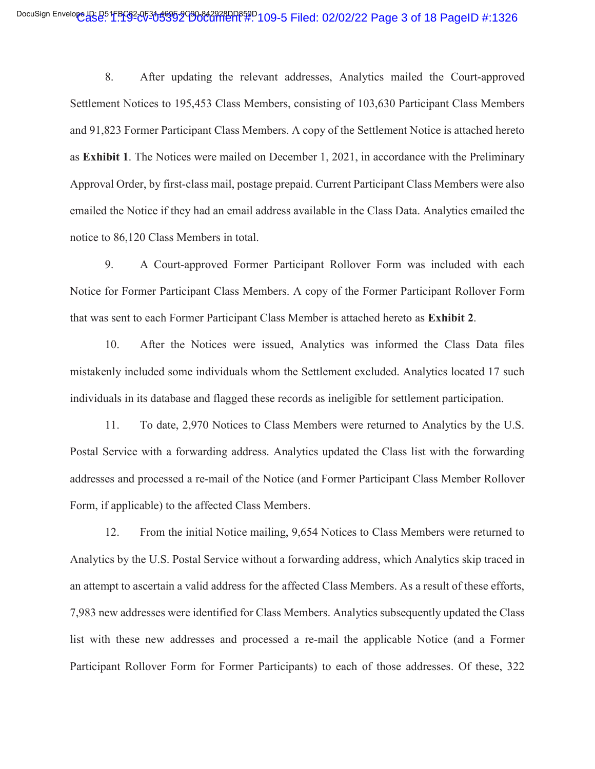8. After updating the relevant addresses, Analytics mailed the Court-approved Settlement Notices to 195,453 Class Members, consisting of 103,630 Participant Class Members and 91,823 Former Participant Class Members. A copy of the Settlement Notice is attached hereto as **Exhibit 1**. The Notices were mailed on December 1, 2021, in accordance with the Preliminary Approval Order, by first-class mail, postage prepaid. Current Participant Class Members were also emailed the Notice if they had an email address available in the Class Data. Analytics emailed the notice to 86,120 Class Members in total.

9. A Court-approved Former Participant Rollover Form was included with each Notice for Former Participant Class Members. A copy of the Former Participant Rollover Form that was sent to each Former Participant Class Member is attached hereto as **Exhibit 2**.

10. After the Notices were issued, Analytics was informed the Class Data files mistakenly included some individuals whom the Settlement excluded. Analytics located 17 such individuals in its database and flagged these records as ineligible for settlement participation.

11. To date, 2,970 Notices to Class Members were returned to Analytics by the U.S. Postal Service with a forwarding address. Analytics updated the Class list with the forwarding addresses and processed a re-mail of the Notice (and Former Participant Class Member Rollover Form, if applicable) to the affected Class Members.

12. From the initial Notice mailing, 9,654 Notices to Class Members were returned to Analytics by the U.S. Postal Service without a forwarding address, which Analytics skip traced in an attempt to ascertain a valid address for the affected Class Members. As a result of these efforts, 7,983 new addresses were identified for Class Members. Analytics subsequently updated the Class list with these new addresses and processed a re-mail the applicable Notice (and a Former Participant Rollover Form for Former Participants) to each of those addresses. Of these, 322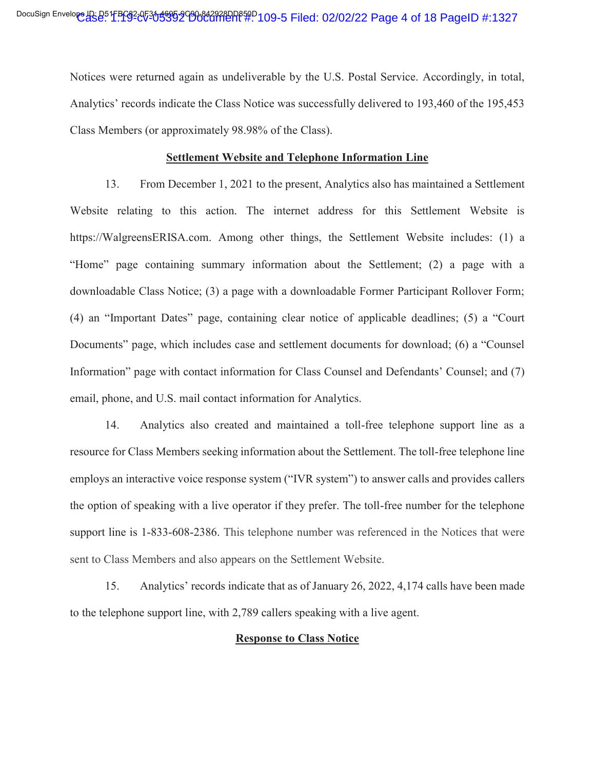Notices were returned again as undeliverable by the U.S. Postal Service. Accordingly, in total, Analytics' records indicate the Class Notice was successfully delivered to 193,460 of the 195,453 Class Members (or approximately 98.98% of the Class).

#### **Settlement Website and Telephone Information Line**

13. From December 1, 2021 to the present, Analytics also has maintained a Settlement Website relating to this action. The internet address for this Settlement Website is https://WalgreensERISA.com. Among other things, the Settlement Website includes: (1) a "Home" page containing summary information about the Settlement; (2) a page with a downloadable Class Notice; (3) a page with a downloadable Former Participant Rollover Form; (4) an "Important Dates" page, containing clear notice of applicable deadlines; (5) a "Court Documents" page, which includes case and settlement documents for download; (6) a "Counsel Information" page with contact information for Class Counsel and Defendants' Counsel; and (7) email, phone, and U.S. mail contact information for Analytics.

14. Analytics also created and maintained a toll-free telephone support line as a resource for Class Members seeking information about the Settlement. The toll-free telephone line employs an interactive voice response system ("IVR system") to answer calls and provides callers the option of speaking with a live operator if they prefer. The toll-free number for the telephone support line is 1-833-608-2386. This telephone number was referenced in the Notices that were sent to Class Members and also appears on the Settlement Website.

15. Analytics' records indicate that as of January 26, 2022, 4,174 calls have been made to the telephone support line, with 2,789 callers speaking with a live agent.

#### **Response to Class Notice**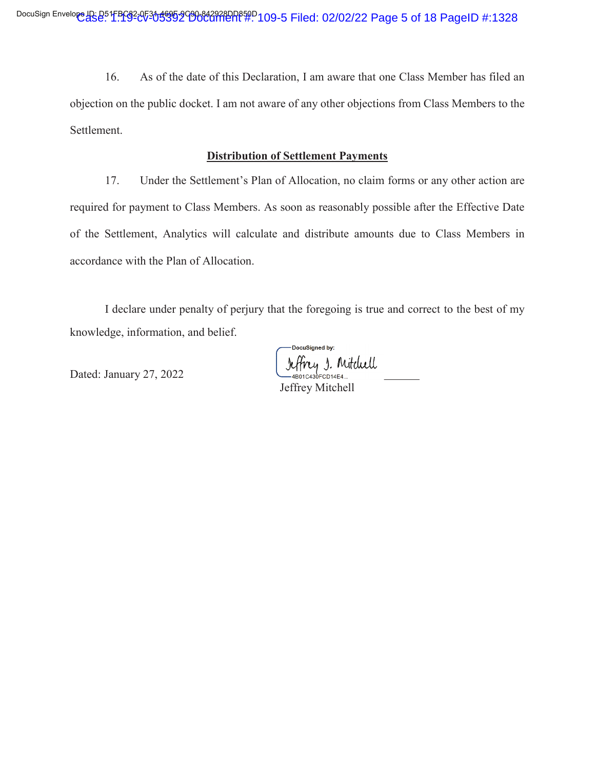16. As of the date of this Declaration, I am aware that one Class Member has filed an objection on the public docket. I am not aware of any other objections from Class Members to the Settlement.

### **Distribution of Settlement Payments**

17. Under the Settlement's Plan of Allocation, no claim forms or any other action are required for payment to Class Members. As soon as reasonably possible after the Effective Date of the Settlement, Analytics will calculate and distribute amounts due to Class Members in accordance with the Plan of Allocation.

I declare under penalty of perjury that the foregoing is true and correct to the best of my knowledge, information, and belief.

DocuSianed by: Jeffrey J. Mitchell

Dated: January 27, 2022

Jeffrey Mitchell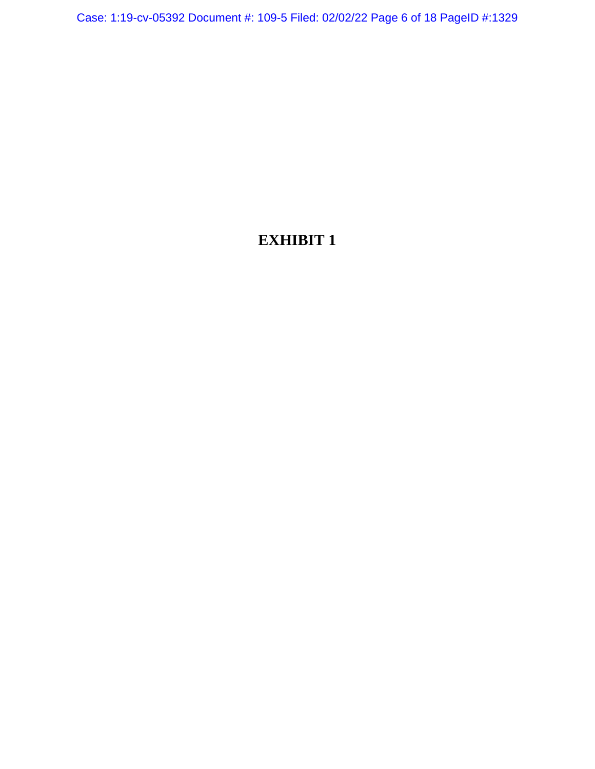Case: 1:19-cv-05392 Document #: 109-5 Filed: 02/02/22 Page 6 of 18 PageID #:1329

# **EXHIBIT 1**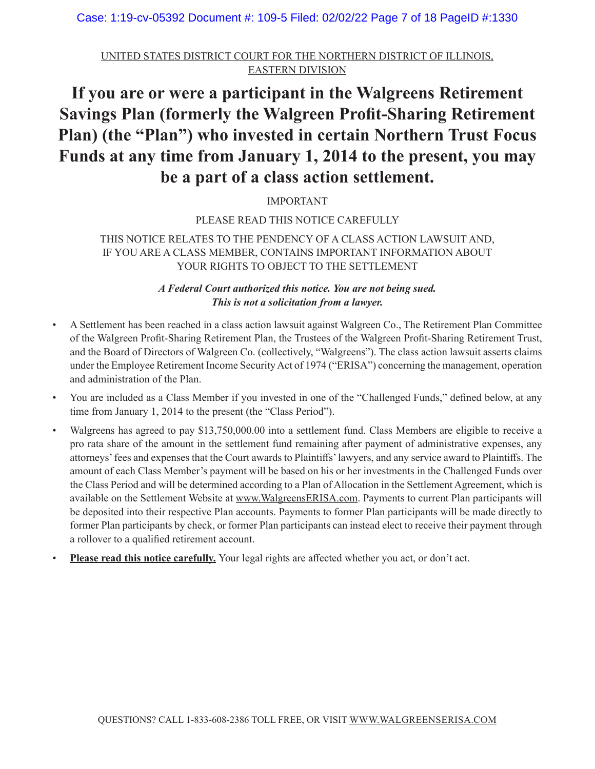Case: 1:19-cv-05392 Document #: 109-5 Filed: 02/02/22 Page 7 of 18 PageID #:1330

UNITED STATES DISTRICT COURT FOR THE NORTHERN DISTRICT OF ILLINOIS, EASTERN DIVISION

# **If you are or were a participant in the Walgreens Retirement Savings Plan (formerly the Walgreen Profit-Sharing Retirement Plan) (the "Plan") who invested in certain Northern Trust Focus Funds at any time from January 1, 2014 to the present, you may be a part of a class action settlement.**

# IMPORTANT

### PLEASE READ THIS NOTICE CAREFULLY

# THIS NOTICE RELATES TO THE PENDENCY OF A CLASS ACTION LAWSUIT AND, IF YOU ARE A CLASS MEMBER, CONTAINS IMPORTANT INFORMATION ABOUT YOUR RIGHTS TO OBJECT TO THE SETTLEMENT

*A Federal Court authorized this notice. You are not being sued. This is not a solicitation from a lawyer.*

- A Settlement has been reached in a class action lawsuit against Walgreen Co., The Retirement Plan Committee of the Walgreen Profit-Sharing Retirement Plan, the Trustees of the Walgreen Profit-Sharing Retirement Trust, and the Board of Directors of Walgreen Co. (collectively, "Walgreens"). The class action lawsuit asserts claims under the Employee Retirement Income Security Act of 1974 ("ERISA") concerning the management, operation and administration of the Plan.
- You are included as a Class Member if you invested in one of the "Challenged Funds," defined below, at any time from January 1, 2014 to the present (the "Class Period").
- Walgreens has agreed to pay \$13,750,000.00 into a settlement fund. Class Members are eligible to receive a pro rata share of the amount in the settlement fund remaining after payment of administrative expenses, any attorneys' fees and expenses that the Court awards to Plaintiffs' lawyers, and any service award to Plaintiffs. The amount of each Class Member's payment will be based on his or her investments in the Challenged Funds over the Class Period and will be determined according to a Plan of Allocation in the Settlement Agreement, which is available on the Settlement Website at www.WalgreensERISA.com. Payments to current Plan participants will be deposited into their respective Plan accounts. Payments to former Plan participants will be made directly to former Plan participants by check, or former Plan participants can instead elect to receive their payment through a rollover to a qualified retirement account.
- **Please read this notice carefully.** Your legal rights are affected whether you act, or don't act.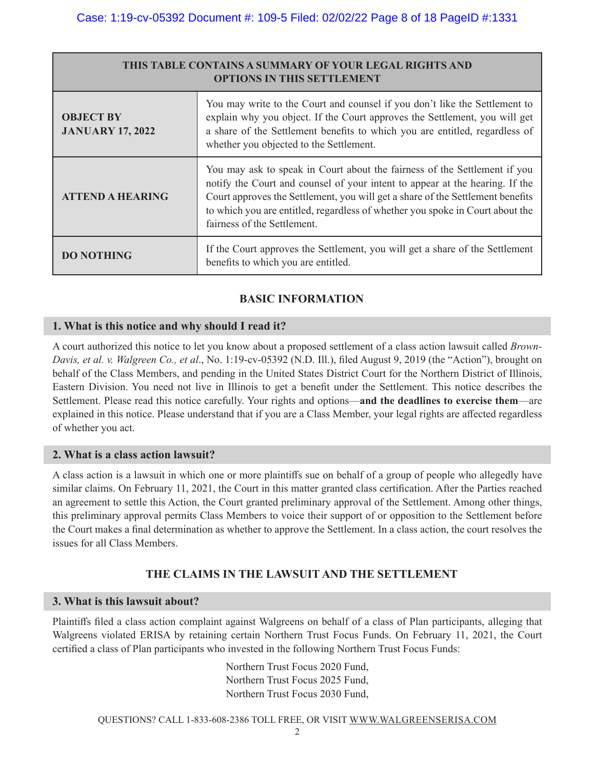| THIS TABLE CONTAINS A SUMMARY OF YOUR LEGAL RIGHTS AND<br><b>OPTIONS IN THIS SETTLEMENT</b> |                                                                                                                                                                                                                                                                                                                                                             |  |  |  |  |  |  |  |  |  |  |
|---------------------------------------------------------------------------------------------|-------------------------------------------------------------------------------------------------------------------------------------------------------------------------------------------------------------------------------------------------------------------------------------------------------------------------------------------------------------|--|--|--|--|--|--|--|--|--|--|
| <b>OBJECT BY</b><br><b>JANUARY 17, 2022</b>                                                 | You may write to the Court and counsel if you don't like the Settlement to<br>explain why you object. If the Court approves the Settlement, you will get<br>a share of the Settlement benefits to which you are entitled, regardless of<br>whether you objected to the Settlement.                                                                          |  |  |  |  |  |  |  |  |  |  |
| <b>ATTEND A HEARING</b>                                                                     | You may ask to speak in Court about the fairness of the Settlement if you<br>notify the Court and counsel of your intent to appear at the hearing. If the<br>Court approves the Settlement, you will get a share of the Settlement benefits<br>to which you are entitled, regardless of whether you spoke in Court about the<br>fairness of the Settlement. |  |  |  |  |  |  |  |  |  |  |
| <b>DO NOTHING</b>                                                                           | If the Court approves the Settlement, you will get a share of the Settlement<br>benefits to which you are entitled.                                                                                                                                                                                                                                         |  |  |  |  |  |  |  |  |  |  |

# **BASIC INFORMATION**

### **1. What is this notice and why should I read it?**

A court authorized this notice to let you know about a proposed settlement of a class action lawsuit called *Brown-Davis, et al. v. Walgreen Co., et al*., No. 1:19-cv-05392 (N.D. Ill.), filed August 9, 2019 (the "Action"), brought on behalf of the Class Members, and pending in the United States District Court for the Northern District of Illinois, Eastern Division. You need not live in Illinois to get a benefit under the Settlement. This notice describes the Settlement. Please read this notice carefully. Your rights and options—**and the deadlines to exercise them**—are explained in this notice. Please understand that if you are a Class Member, your legal rights are affected regardless of whether you act.

### **2. What is a class action lawsuit?**

A class action is a lawsuit in which one or more plaintiffs sue on behalf of a group of people who allegedly have similar claims. On February 11, 2021, the Court in this matter granted class certification. After the Parties reached an agreement to settle this Action, the Court granted preliminary approval of the Settlement. Among other things, this preliminary approval permits Class Members to voice their support of or opposition to the Settlement before the Court makes a final determination as whether to approve the Settlement. In a class action, the court resolves the issues for all Class Members.

# **THE CLAIMS IN THE LAWSUIT AND THE SETTLEMENT**

#### **3. What is this lawsuit about?**

Plaintiffs filed a class action complaint against Walgreens on behalf of a class of Plan participants, alleging that Walgreens violated ERISA by retaining certain Northern Trust Focus Funds. On February 11, 2021, the Court certified a class of Plan participants who invested in the following Northern Trust Focus Funds:

> Northern Trust Focus 2020 Fund, Northern Trust Focus 2025 Fund, Northern Trust Focus 2030 Fund,

QUESTIONS? CALL 1-833-608-2386 TOLL FREE, OR VISIT WWW.WALGREENSERISA.COM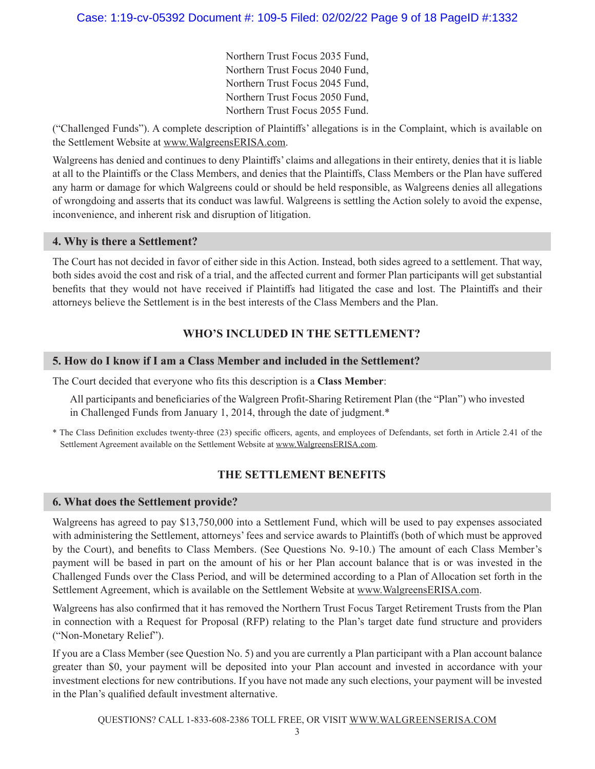Northern Trust Focus 2035 Fund, Northern Trust Focus 2040 Fund, Northern Trust Focus 2045 Fund, Northern Trust Focus 2050 Fund, Northern Trust Focus 2055 Fund.

("Challenged Funds"). A complete description of Plaintiffs' allegations is in the Complaint, which is available on the Settlement Website at www.WalgreensERISA.com.

Walgreens has denied and continues to deny Plaintiffs' claims and allegations in their entirety, denies that it is liable at all to the Plaintiffs or the Class Members, and denies that the Plaintiffs, Class Members or the Plan have suffered any harm or damage for which Walgreens could or should be held responsible, as Walgreens denies all allegations of wrongdoing and asserts that its conduct was lawful. Walgreens is settling the Action solely to avoid the expense, inconvenience, and inherent risk and disruption of litigation.

#### **4. Why is there a Settlement?**

The Court has not decided in favor of either side in this Action. Instead, both sides agreed to a settlement. That way, both sides avoid the cost and risk of a trial, and the affected current and former Plan participants will get substantial benefits that they would not have received if Plaintiffs had litigated the case and lost. The Plaintiffs and their attorneys believe the Settlement is in the best interests of the Class Members and the Plan.

# **WHO'S INCLUDED IN THE SETTLEMENT?**

### **5. How do I know if I am a Class Member and included in the Settlement?**

The Court decided that everyone who fits this description is a **Class Member**:

All participants and beneficiaries of the Walgreen Profit-Sharing Retirement Plan (the "Plan") who invested in Challenged Funds from January 1, 2014, through the date of judgment.\*

\* The Class Definition excludes twenty-three (23) specific officers, agents, and employees of Defendants, set forth in Article 2.41 of the Settlement Agreement available on the Settlement Website at www.WalgreensERISA.com.

# **THE SETTLEMENT BENEFITS**

#### **6. What does the Settlement provide?**

Walgreens has agreed to pay \$13,750,000 into a Settlement Fund, which will be used to pay expenses associated with administering the Settlement, attorneys' fees and service awards to Plaintiffs (both of which must be approved by the Court), and benefits to Class Members. (See Questions No. 9-10.) The amount of each Class Member's payment will be based in part on the amount of his or her Plan account balance that is or was invested in the Challenged Funds over the Class Period, and will be determined according to a Plan of Allocation set forth in the Settlement Agreement, which is available on the Settlement Website at www.WalgreensERISA.com.

Walgreens has also confirmed that it has removed the Northern Trust Focus Target Retirement Trusts from the Plan in connection with a Request for Proposal (RFP) relating to the Plan's target date fund structure and providers ("Non-Monetary Relief").

If you are a Class Member (see Question No. 5) and you are currently a Plan participant with a Plan account balance greater than \$0, your payment will be deposited into your Plan account and invested in accordance with your investment elections for new contributions. If you have not made any such elections, your payment will be invested in the Plan's qualified default investment alternative.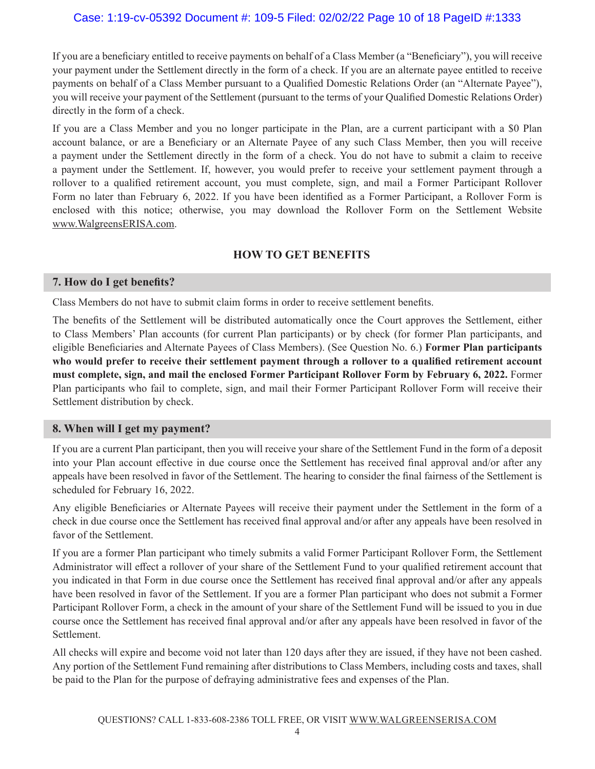# Case: 1:19-cv-05392 Document #: 109-5 Filed: 02/02/22 Page 10 of 18 PageID #:1333

If you are a beneficiary entitled to receive payments on behalf of a Class Member (a "Beneficiary"), you will receive your payment under the Settlement directly in the form of a check. If you are an alternate payee entitled to receive payments on behalf of a Class Member pursuant to a Qualified Domestic Relations Order (an "Alternate Payee"), you will receive your payment of the Settlement (pursuant to the terms of your Qualified Domestic Relations Order) directly in the form of a check.

If you are a Class Member and you no longer participate in the Plan, are a current participant with a \$0 Plan account balance, or are a Beneficiary or an Alternate Payee of any such Class Member, then you will receive a payment under the Settlement directly in the form of a check. You do not have to submit a claim to receive a payment under the Settlement. If, however, you would prefer to receive your settlement payment through a rollover to a qualified retirement account, you must complete, sign, and mail a Former Participant Rollover Form no later than February 6, 2022. If you have been identified as a Former Participant, a Rollover Form is enclosed with this notice; otherwise, you may download the Rollover Form on the Settlement Website www.WalgreensERISA.com.

# **HOW TO GET BENEFITS**

#### **7. How do I get benefits?**

Class Members do not have to submit claim forms in order to receive settlement benefits.

The benefits of the Settlement will be distributed automatically once the Court approves the Settlement, either to Class Members' Plan accounts (for current Plan participants) or by check (for former Plan participants, and eligible Beneficiaries and Alternate Payees of Class Members). (See Question No. 6.) **Former Plan participants who would prefer to receive their settlement payment through a rollover to a qualified retirement account must complete, sign, and mail the enclosed Former Participant Rollover Form by February 6, 2022.** Former Plan participants who fail to complete, sign, and mail their Former Participant Rollover Form will receive their Settlement distribution by check.

#### **8. When will I get my payment?**

If you are a current Plan participant, then you will receive your share of the Settlement Fund in the form of a deposit into your Plan account effective in due course once the Settlement has received final approval and/or after any appeals have been resolved in favor of the Settlement. The hearing to consider the final fairness of the Settlement is scheduled for February 16, 2022.

Any eligible Beneficiaries or Alternate Payees will receive their payment under the Settlement in the form of a check in due course once the Settlement has received final approval and/or after any appeals have been resolved in favor of the Settlement.

If you are a former Plan participant who timely submits a valid Former Participant Rollover Form, the Settlement Administrator will effect a rollover of your share of the Settlement Fund to your qualified retirement account that you indicated in that Form in due course once the Settlement has received final approval and/or after any appeals have been resolved in favor of the Settlement. If you are a former Plan participant who does not submit a Former Participant Rollover Form, a check in the amount of your share of the Settlement Fund will be issued to you in due course once the Settlement has received final approval and/or after any appeals have been resolved in favor of the Settlement.

All checks will expire and become void not later than 120 days after they are issued, if they have not been cashed. Any portion of the Settlement Fund remaining after distributions to Class Members, including costs and taxes, shall be paid to the Plan for the purpose of defraying administrative fees and expenses of the Plan.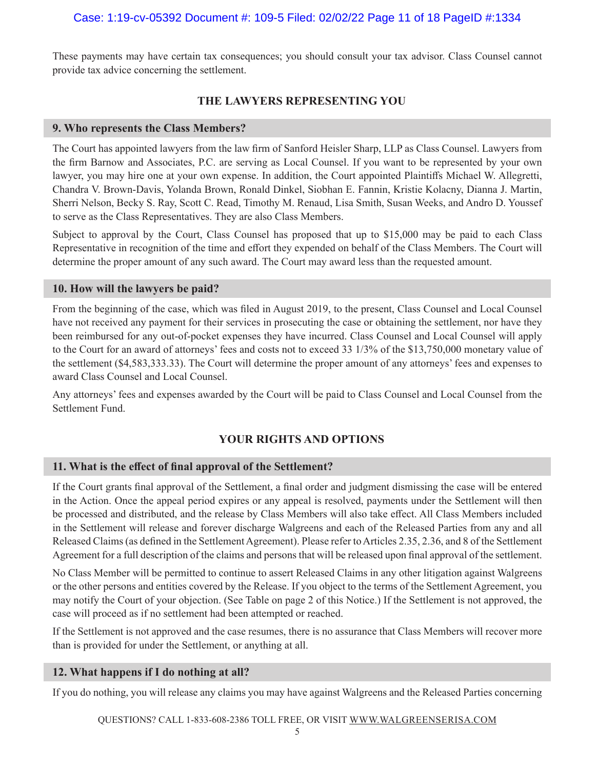These payments may have certain tax consequences; you should consult your tax advisor. Class Counsel cannot provide tax advice concerning the settlement.

# **THE LAWYERS REPRESENTING YOU**

#### **9. Who represents the Class Members?**

The Court has appointed lawyers from the law firm of Sanford Heisler Sharp, LLP as Class Counsel. Lawyers from the firm Barnow and Associates, P.C. are serving as Local Counsel. If you want to be represented by your own lawyer, you may hire one at your own expense. In addition, the Court appointed Plaintiffs Michael W. Allegretti, Chandra V. Brown-Davis, Yolanda Brown, Ronald Dinkel, Siobhan E. Fannin, Kristie Kolacny, Dianna J. Martin, Sherri Nelson, Becky S. Ray, Scott C. Read, Timothy M. Renaud, Lisa Smith, Susan Weeks, and Andro D. Youssef to serve as the Class Representatives. They are also Class Members.

Subject to approval by the Court, Class Counsel has proposed that up to \$15,000 may be paid to each Class Representative in recognition of the time and effort they expended on behalf of the Class Members. The Court will determine the proper amount of any such award. The Court may award less than the requested amount.

#### **10. How will the lawyers be paid?**

From the beginning of the case, which was filed in August 2019, to the present, Class Counsel and Local Counsel have not received any payment for their services in prosecuting the case or obtaining the settlement, nor have they been reimbursed for any out-of-pocket expenses they have incurred. Class Counsel and Local Counsel will apply to the Court for an award of attorneys' fees and costs not to exceed 33 1/3% of the \$13,750,000 monetary value of the settlement (\$4,583,333.33). The Court will determine the proper amount of any attorneys' fees and expenses to award Class Counsel and Local Counsel.

Any attorneys' fees and expenses awarded by the Court will be paid to Class Counsel and Local Counsel from the Settlement Fund.

### **YOUR RIGHTS AND OPTIONS**

### **11. What is the effect of final approval of the Settlement?**

If the Court grants final approval of the Settlement, a final order and judgment dismissing the case will be entered in the Action. Once the appeal period expires or any appeal is resolved, payments under the Settlement will then be processed and distributed, and the release by Class Members will also take effect. All Class Members included in the Settlement will release and forever discharge Walgreens and each of the Released Parties from any and all Released Claims (as defined in the Settlement Agreement). Please refer to Articles 2.35, 2.36, and 8 of the Settlement Agreement for a full description of the claims and persons that will be released upon final approval of the settlement.

No Class Member will be permitted to continue to assert Released Claims in any other litigation against Walgreens or the other persons and entities covered by the Release. If you object to the terms of the Settlement Agreement, you may notify the Court of your objection. (See Table on page 2 of this Notice.) If the Settlement is not approved, the case will proceed as if no settlement had been attempted or reached.

If the Settlement is not approved and the case resumes, there is no assurance that Class Members will recover more than is provided for under the Settlement, or anything at all.

#### **12. What happens if I do nothing at all?**

If you do nothing, you will release any claims you may have against Walgreens and the Released Parties concerning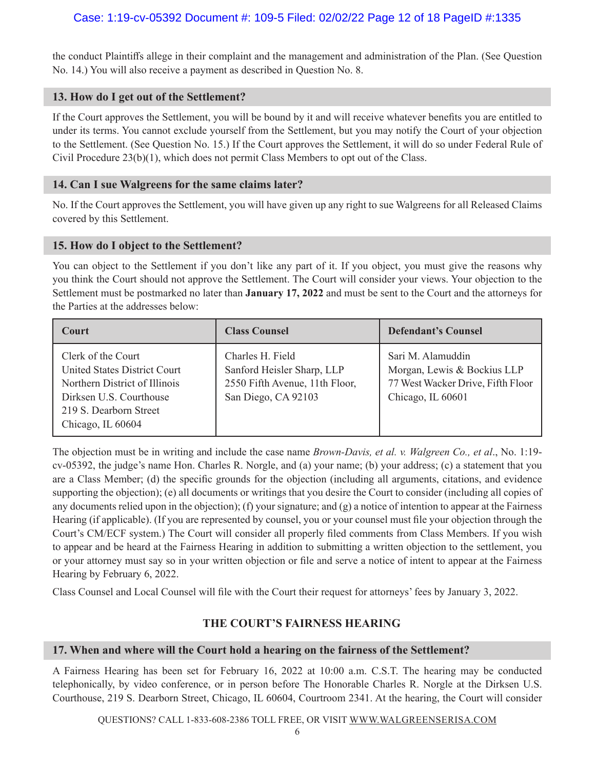the conduct Plaintiffs allege in their complaint and the management and administration of the Plan. (See Question No. 14.) You will also receive a payment as described in Question No. 8.

#### **13. How do I get out of the Settlement?**

If the Court approves the Settlement, you will be bound by it and will receive whatever benefits you are entitled to under its terms. You cannot exclude yourself from the Settlement, but you may notify the Court of your objection to the Settlement. (See Question No. 15.) If the Court approves the Settlement, it will do so under Federal Rule of Civil Procedure 23(b)(1), which does not permit Class Members to opt out of the Class.

#### **14. Can I sue Walgreens for the same claims later?**

No. If the Court approves the Settlement, you will have given up any right to sue Walgreens for all Released Claims covered by this Settlement.

#### **15. How do I object to the Settlement?**

You can object to the Settlement if you don't like any part of it. If you object, you must give the reasons why you think the Court should not approve the Settlement. The Court will consider your views. Your objection to the Settlement must be postmarked no later than **January 17, 2022** and must be sent to the Court and the attorneys for the Parties at the addresses below:

| <b>Court</b>                                                                                                                                                         | <b>Class Counsel</b>                                                                                    | <b>Defendant's Counsel</b>                                                                                 |
|----------------------------------------------------------------------------------------------------------------------------------------------------------------------|---------------------------------------------------------------------------------------------------------|------------------------------------------------------------------------------------------------------------|
| Clerk of the Court<br><b>United States District Court</b><br>Northern District of Illinois<br>Dirksen U.S. Courthouse<br>219 S. Dearborn Street<br>Chicago, IL 60604 | Charles H. Field<br>Sanford Heisler Sharp, LLP<br>2550 Fifth Avenue, 11th Floor,<br>San Diego, CA 92103 | Sari M. Alamuddin<br>Morgan, Lewis & Bockius LLP<br>77 West Wacker Drive, Fifth Floor<br>Chicago, IL 60601 |

The objection must be in writing and include the case name *Brown-Davis, et al. v. Walgreen Co., et al*., No. 1:19 cv-05392, the judge's name Hon. Charles R. Norgle, and (a) your name; (b) your address; (c) a statement that you are a Class Member; (d) the specific grounds for the objection (including all arguments, citations, and evidence supporting the objection); (e) all documents or writings that you desire the Court to consider (including all copies of any documents relied upon in the objection); (f) your signature; and (g) a notice of intention to appear at the Fairness Hearing (if applicable). (If you are represented by counsel, you or your counsel must file your objection through the Court's CM/ECF system.) The Court will consider all properly filed comments from Class Members. If you wish to appear and be heard at the Fairness Hearing in addition to submitting a written objection to the settlement, you or your attorney must say so in your written objection or file and serve a notice of intent to appear at the Fairness Hearing by February 6, 2022.

Class Counsel and Local Counsel will file with the Court their request for attorneys' fees by January 3, 2022.

### **THE COURT'S FAIRNESS HEARING**

#### **17. When and where will the Court hold a hearing on the fairness of the Settlement?**

A Fairness Hearing has been set for February 16, 2022 at 10:00 a.m. C.S.T. The hearing may be conducted telephonically, by video conference, or in person before The Honorable Charles R. Norgle at the Dirksen U.S. Courthouse, 219 S. Dearborn Street, Chicago, IL 60604, Courtroom 2341. At the hearing, the Court will consider

QUESTIONS? CALL 1-833-608-2386 TOLL FREE, OR VISIT WWW.WALGREENSERISA.COM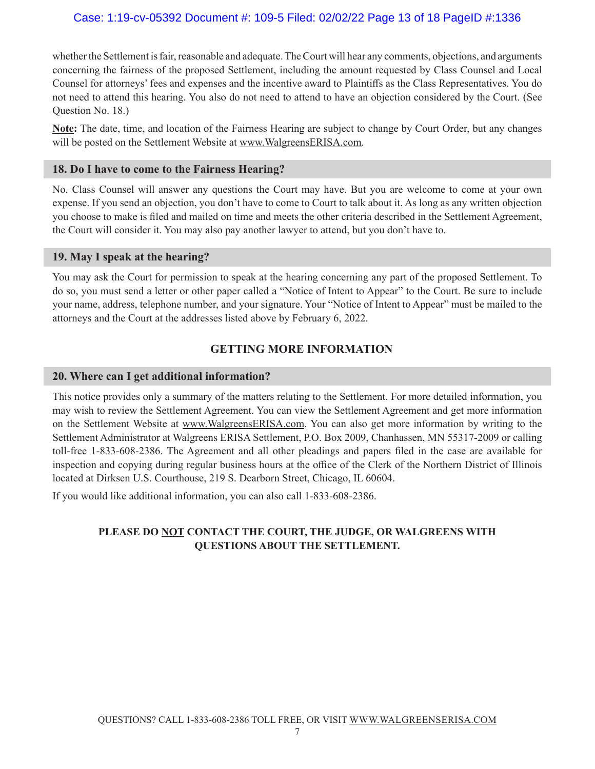whether the Settlement is fair, reasonable and adequate. The Court will hear any comments, objections, and arguments concerning the fairness of the proposed Settlement, including the amount requested by Class Counsel and Local Counsel for attorneys' fees and expenses and the incentive award to Plaintiffs as the Class Representatives. You do not need to attend this hearing. You also do not need to attend to have an objection considered by the Court. (See Question No. 18.)

**Note:** The date, time, and location of the Fairness Hearing are subject to change by Court Order, but any changes will be posted on the Settlement Website at www.WalgreensERISA.com.

#### **18. Do I have to come to the Fairness Hearing?**

No. Class Counsel will answer any questions the Court may have. But you are welcome to come at your own expense. If you send an objection, you don't have to come to Court to talk about it. As long as any written objection you choose to make is filed and mailed on time and meets the other criteria described in the Settlement Agreement, the Court will consider it. You may also pay another lawyer to attend, but you don't have to.

#### **19. May I speak at the hearing?**

You may ask the Court for permission to speak at the hearing concerning any part of the proposed Settlement. To do so, you must send a letter or other paper called a "Notice of Intent to Appear" to the Court. Be sure to include your name, address, telephone number, and your signature. Your "Notice of Intent to Appear" must be mailed to the attorneys and the Court at the addresses listed above by February 6, 2022.

### **GETTING MORE INFORMATION**

#### **20. Where can I get additional information?**

This notice provides only a summary of the matters relating to the Settlement. For more detailed information, you may wish to review the Settlement Agreement. You can view the Settlement Agreement and get more information on the Settlement Website at www.WalgreensERISA.com. You can also get more information by writing to the Settlement Administrator at Walgreens ERISA Settlement, P.O. Box 2009, Chanhassen, MN 55317-2009 or calling toll-free 1-833-608-2386. The Agreement and all other pleadings and papers filed in the case are available for inspection and copying during regular business hours at the office of the Clerk of the Northern District of Illinois located at Dirksen U.S. Courthouse, 219 S. Dearborn Street, Chicago, IL 60604.

If you would like additional information, you can also call 1-833-608-2386.

# **PLEASE DO NOT CONTACT THE COURT, THE JUDGE, OR WALGREENS WITH QUESTIONS ABOUT THE SETTLEMENT.**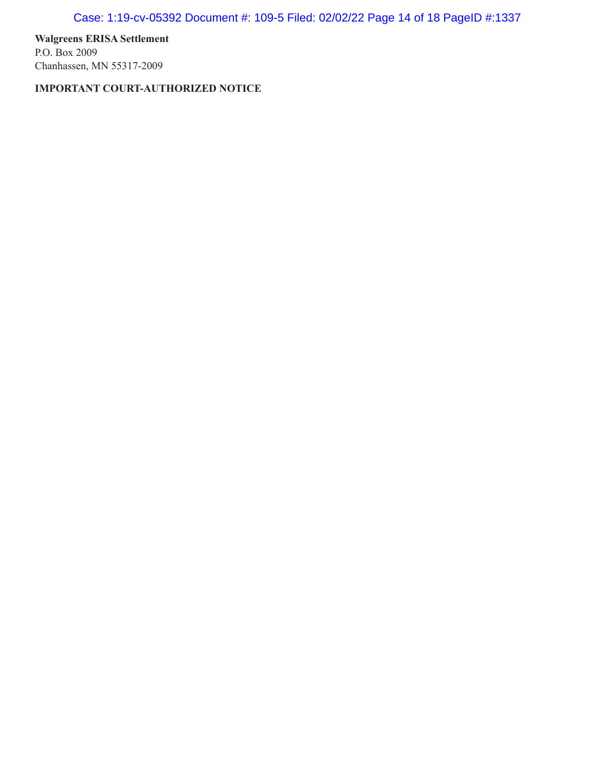Case: 1:19-cv-05392 Document #: 109-5 Filed: 02/02/22 Page 14 of 18 PageID #:1337

**Walgreens ERISA Settlement** P.O. Box 2009 Chanhassen, MN 55317-2009

**IMPORTANT COURT-AUTHORIZED NOTICE**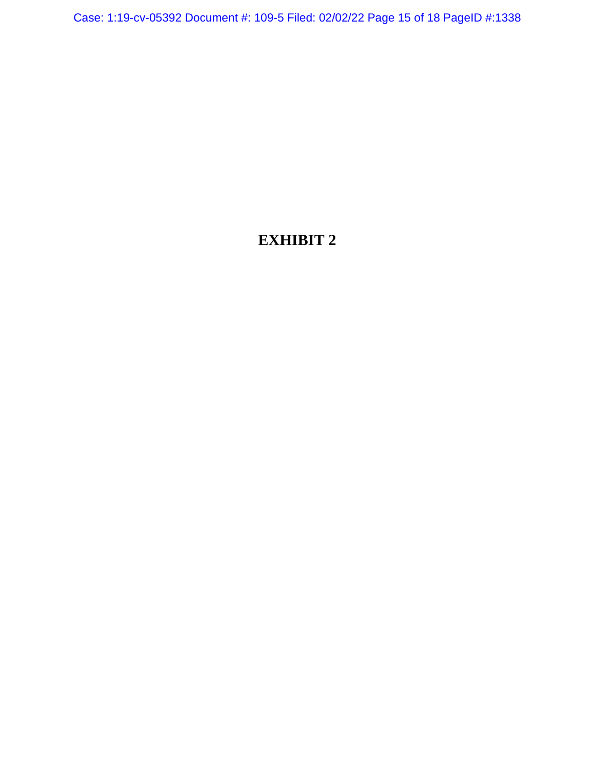Case: 1:19-cv-05392 Document #: 109-5 Filed: 02/02/22 Page 15 of 18 PageID #:1338

# **EXHIBIT 2**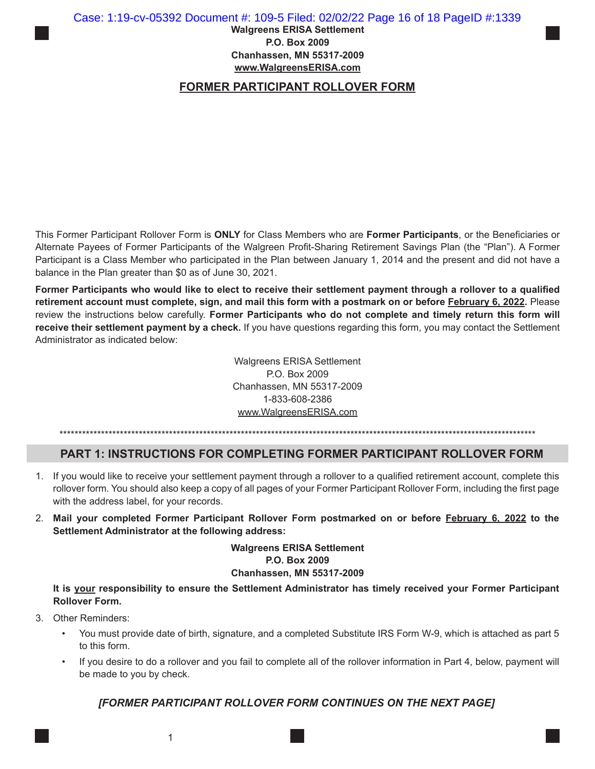#### Case: 1:19-cv-05392 Document #: 109-5 Filed: 02/02/22 Page 16 of 18 PageID #:1339

**Walgreens ERISA Settlement P.O. Box 2009 Chanhassen, MN 55317-2009 www.WalgreensERISA.com**

# **FORMER PARTICIPANT ROLLOVER FORM**

This Former Participant Rollover Form is **ONLY** for Class Members who are **Former Participants**, or the Beneficiaries or Alternate Payees of Former Participants of the Walgreen Profit-Sharing Retirement Savings Plan (the "Plan"). A Former Participant is a Class Member who participated in the Plan between January 1, 2014 and the present and did not have a balance in the Plan greater than \$0 as of June 30, 2021.

**Former Participants who would like to elect to receive their settlement payment through a rollover to a qualified retirement account must complete, sign, and mail this form with a postmark on or before February 6, 2022.** Please review the instructions below carefully. **Former Participants who do not complete and timely return this form will receive their settlement payment by a check.** If you have questions regarding this form, you may contact the Settlement Administrator as indicated below:

> Walgreens ERISA Settlement P.O. Box 2009 Chanhassen, MN 55317-2009 1-833-608-2386 www.WalgreensERISA.com

\*\*\*\*\*\*\*\*\*\*\*\*\*\*\*\*\*\*\*\*\*\*\*\*\*\*\*\*\*\*\*\*\*\*\*\*\*\*\*\*\*\*\*\*\*\*\*\*\*\*\*\*\*\*\*\*\*\*\*\*\*\*\*\*\*\*\*\*\*\*\*\*\*\*\*\*\*\*\*\*\*\*\*\*\*\*\*\*\*\*\*\*\*\*\*\*\*\*\*\*\*\*\*\*\*\*\*\*\*\*\*\*\*\*\*\*\*\*\*\*\*\*\*\*\*\*

### **PART 1: INSTRUCTIONS FOR COMPLETING FORMER PARTICIPANT ROLLOVER FORM**

- 1. If you would like to receive your settlement payment through a rollover to a qualified retirement account, complete this rollover form. You should also keep a copy of all pages of your Former Participant Rollover Form, including the first page with the address label, for your records.
- 2. **Mail your completed Former Participant Rollover Form postmarked on or before February 6, 2022 to the Settlement Administrator at the following address:**

**Walgreens ERISA Settlement P.O. Box 2009 Chanhassen, MN 55317-2009**

**It is your responsibility to ensure the Settlement Administrator has timely received your Former Participant Rollover Form.**

- 3. Other Reminders:
	- You must provide date of birth, signature, and a completed Substitute IRS Form W-9, which is attached as part 5 to this form.
	- If you desire to do a rollover and you fail to complete all of the rollover information in Part 4, below, payment will be made to you by check.

### *[FORMER PARTICIPANT ROLLOVER FORM CONTINUES ON THE NEXT PAGE]*

1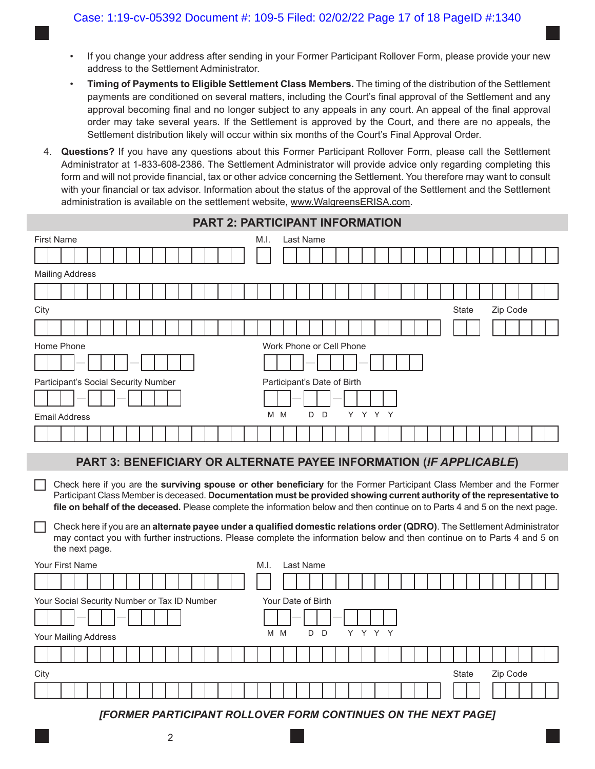- If you change your address after sending in your Former Participant Rollover Form, please provide your new address to the Settlement Administrator.
- **Timing of Payments to Eligible Settlement Class Members.** The timing of the distribution of the Settlement payments are conditioned on several matters, including the Court's final approval of the Settlement and any approval becoming final and no longer subject to any appeals in any court. An appeal of the final approval order may take several years. If the Settlement is approved by the Court, and there are no appeals, the Settlement distribution likely will occur within six months of the Court's Final Approval Order.
- 4. **Questions?** If you have any questions about this Former Participant Rollover Form, please call the Settlement Administrator at 1-833-608-2386. The Settlement Administrator will provide advice only regarding completing this form and will not provide financial, tax or other advice concerning the Settlement. You therefore may want to consult with your financial or tax advisor. Information about the status of the approval of the Settlement and the Settlement administration is available on the settlement website, www.WalgreensERISA.com.

| PART 2: PARTICIPANT INFORMATION                                                                                                                                                                                                                                                                                                                                                    |  |  |  |  |  |  |  |  |  |  |  |  |  |
|------------------------------------------------------------------------------------------------------------------------------------------------------------------------------------------------------------------------------------------------------------------------------------------------------------------------------------------------------------------------------------|--|--|--|--|--|--|--|--|--|--|--|--|--|
| <b>First Name</b><br>Last Name<br>M.I.                                                                                                                                                                                                                                                                                                                                             |  |  |  |  |  |  |  |  |  |  |  |  |  |
|                                                                                                                                                                                                                                                                                                                                                                                    |  |  |  |  |  |  |  |  |  |  |  |  |  |
| <b>Mailing Address</b>                                                                                                                                                                                                                                                                                                                                                             |  |  |  |  |  |  |  |  |  |  |  |  |  |
|                                                                                                                                                                                                                                                                                                                                                                                    |  |  |  |  |  |  |  |  |  |  |  |  |  |
| City<br>Zip Code<br><b>State</b>                                                                                                                                                                                                                                                                                                                                                   |  |  |  |  |  |  |  |  |  |  |  |  |  |
|                                                                                                                                                                                                                                                                                                                                                                                    |  |  |  |  |  |  |  |  |  |  |  |  |  |
| Home Phone<br>Work Phone or Cell Phone                                                                                                                                                                                                                                                                                                                                             |  |  |  |  |  |  |  |  |  |  |  |  |  |
|                                                                                                                                                                                                                                                                                                                                                                                    |  |  |  |  |  |  |  |  |  |  |  |  |  |
| Participant's Social Security Number<br>Participant's Date of Birth                                                                                                                                                                                                                                                                                                                |  |  |  |  |  |  |  |  |  |  |  |  |  |
|                                                                                                                                                                                                                                                                                                                                                                                    |  |  |  |  |  |  |  |  |  |  |  |  |  |
| Y Y Y Y<br>M M<br>D<br>D<br><b>Email Address</b>                                                                                                                                                                                                                                                                                                                                   |  |  |  |  |  |  |  |  |  |  |  |  |  |
|                                                                                                                                                                                                                                                                                                                                                                                    |  |  |  |  |  |  |  |  |  |  |  |  |  |
| PART 3: BENEFICIARY OR ALTERNATE PAYEE INFORMATION (IF APPLICABLE)                                                                                                                                                                                                                                                                                                                 |  |  |  |  |  |  |  |  |  |  |  |  |  |
| Check here if you are the surviving spouse or other beneficiary for the Former Participant Class Member and the Former<br>Participant Class Member is deceased. Documentation must be provided showing current authority of the representative to<br>file on behalf of the deceased. Please complete the information below and then continue on to Parts 4 and 5 on the next page. |  |  |  |  |  |  |  |  |  |  |  |  |  |
| Check here if you are an alternate payee under a qualified domestic relations order (QDRO). The Settlement Administrator<br>may contact you with further instructions. Please complete the information below and then continue on to Parts 4 and 5 on<br>the next page.                                                                                                            |  |  |  |  |  |  |  |  |  |  |  |  |  |
| <b>Your First Name</b><br>Last Name<br>M.I.                                                                                                                                                                                                                                                                                                                                        |  |  |  |  |  |  |  |  |  |  |  |  |  |
|                                                                                                                                                                                                                                                                                                                                                                                    |  |  |  |  |  |  |  |  |  |  |  |  |  |
| Your Social Security Number or Tax ID Number<br>Your Date of Birth                                                                                                                                                                                                                                                                                                                 |  |  |  |  |  |  |  |  |  |  |  |  |  |

| Your Mailing Address |                                                                      |  |  |  |  |  |  |  |  |  |  |  |  |          |  |  |  |  |  | MM DD | YYYY |  |  |  |  |  |  |  |  |  |
|----------------------|----------------------------------------------------------------------|--|--|--|--|--|--|--|--|--|--|--|--|----------|--|--|--|--|--|-------|------|--|--|--|--|--|--|--|--|--|
|                      |                                                                      |  |  |  |  |  |  |  |  |  |  |  |  |          |  |  |  |  |  |       |      |  |  |  |  |  |  |  |  |  |
| City<br>State        |                                                                      |  |  |  |  |  |  |  |  |  |  |  |  | Zip Code |  |  |  |  |  |       |      |  |  |  |  |  |  |  |  |  |
|                      |                                                                      |  |  |  |  |  |  |  |  |  |  |  |  |          |  |  |  |  |  |       |      |  |  |  |  |  |  |  |  |  |
|                      | <b>IFODMED DADTIOIDANT DOLLOVED FODM CONTINUES ON THE MEVE DAGE!</b> |  |  |  |  |  |  |  |  |  |  |  |  |          |  |  |  |  |  |       |      |  |  |  |  |  |  |  |  |  |

*[FORMER PARTICIPANT ROLLOVER FORM CONTINUES ON THE NEXT PAGE]*